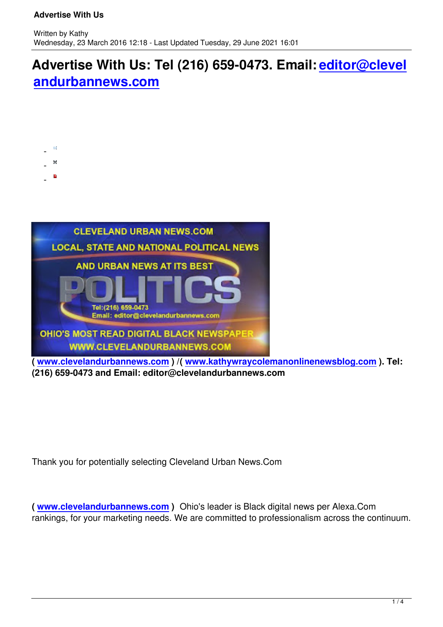## **Advertise With Us: Tel (216) 659-0473. Email: editor@clevel andurbannews.com**



 $\sim$  $\sim$   $\sim$   $-$   $\overline{\sim}$ e

**( www.clevelandurbannews.com ) /( www.kathywraycolemanonlinenewsblog.com ). Tel: (216) 659-0473 and Email: editor@clevelandurbannews.com**

Thank you for potentially selecting Cleveland Urban News.Com

**( www.clevelandurbannews.com )** Ohio's leader is Black digital news per Alexa.Com rankings, for your marketing needs. We are committed to professionalism across the continuum.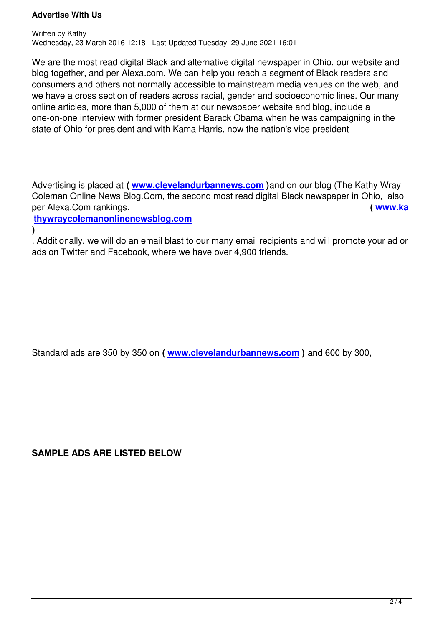We are the most read digital Black and alternative digital newspaper in Ohio, our website and blog together, and per Alexa.com. We can help you reach a segment of Black readers and consumers and others not normally accessible to mainstream media venues on the web, and we have a cross section of readers across racial, gender and socioeconomic lines. Our many online articles, more than 5,000 of them at our newspaper website and blog, include a one-on-one interview with former president Barack Obama when he was campaigning in the state of Ohio for president and with Kama Harris, now the nation's vice president

Advertising is placed at **( www.clevelandurbannews.com )**and on our blog (The Kathy Wray Coleman Online News Blog.Com, the second most read digital Black newspaper in Ohio, also per Alexa.Com rankings. **( www.ka**

**thywraycolemanonline[newsblog.com](http://www.clevelandurbannews.com/)**

**)**

. Additionally, we will do an email blast to our many email recipients and will promote y[our ad or](http://www.kathywraycolemanonlinenewsblog.com/) [ads on Twitter and Facebook, where we](http://www.kathywraycolemanonlinenewsblog.com/) have over 4,900 friends.

Standard ads are 350 by 350 on **( www.clevelandurbannews.com )** and 600 by 300,

**SAMPLE ADS ARE LISTED BELOW**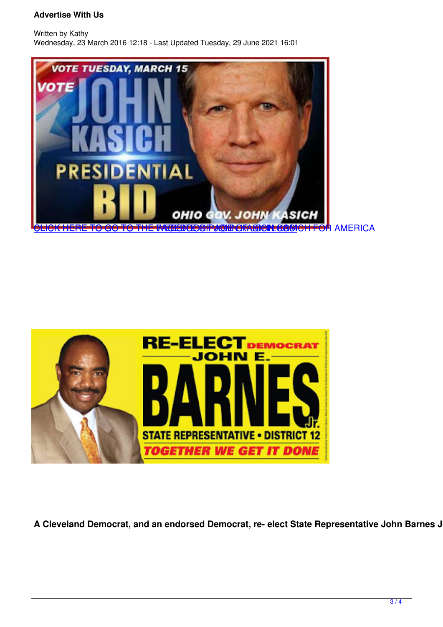



A Cleveland Democrat, and an endorsed Democrat, re- elect State Representative John Barnes Jr. V